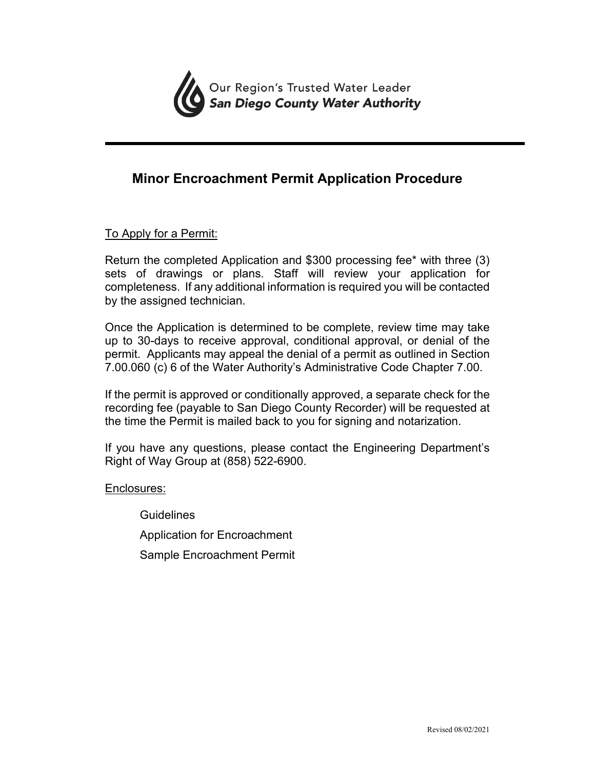

# **Minor Encroachment Permit Application Procedure**

## To Apply for a Permit:

Return the completed Application and \$300 processing fee\* with three (3) sets of drawings or plans. Staff will review your application for completeness. If any additional information is required you will be contacted by the assigned technician.

Once the Application is determined to be complete, review time may take up to 30-days to receive approval, conditional approval, or denial of the permit. Applicants may appeal the denial of a permit as outlined in Section 7.00.060 (c) 6 of the Water Authority's Administrative Code Chapter 7.00.

If the permit is approved or conditionally approved, a separate check for the recording fee (payable to San Diego County Recorder) will be requested at the time the Permit is mailed back to you for signing and notarization.

If you have any questions, please contact the Engineering Department's Right of Way Group at (858) 522-6900.

Enclosures:

**Guidelines** Application for Encroachment Sample Encroachment Permit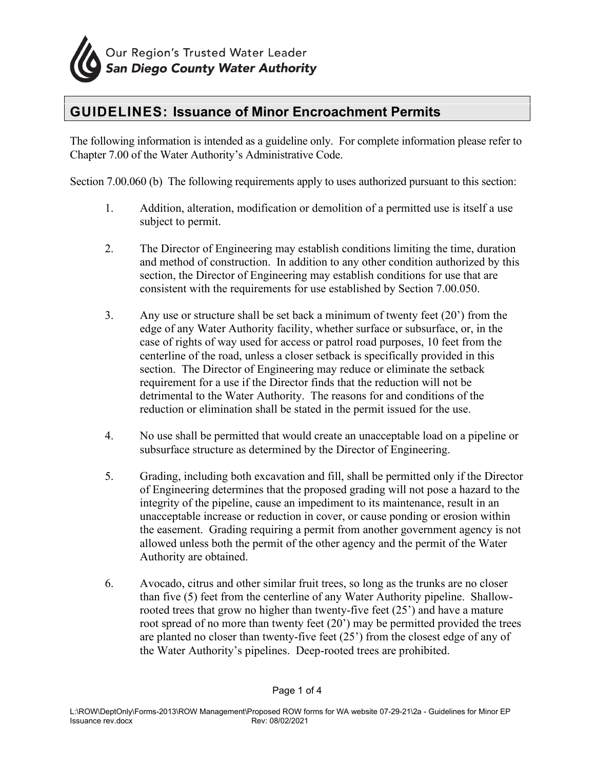

# **GUIDELINES: Issuance of Minor Encroachment Permits**

The following information is intended as a guideline only. For complete information please refer to Chapter 7.00 of the Water Authority's Administrative Code.

Section 7.00.060 (b) The following requirements apply to uses authorized pursuant to this section:

- 1. Addition, alteration, modification or demolition of a permitted use is itself a use subject to permit.
- 2. The Director of Engineering may establish conditions limiting the time, duration and method of construction. In addition to any other condition authorized by this section, the Director of Engineering may establish conditions for use that are consistent with the requirements for use established by Section 7.00.050.
- 3. Any use or structure shall be set back a minimum of twenty feet (20') from the edge of any Water Authority facility, whether surface or subsurface, or, in the case of rights of way used for access or patrol road purposes, 10 feet from the centerline of the road, unless a closer setback is specifically provided in this section. The Director of Engineering may reduce or eliminate the setback requirement for a use if the Director finds that the reduction will not be detrimental to the Water Authority. The reasons for and conditions of the reduction or elimination shall be stated in the permit issued for the use.
- 4. No use shall be permitted that would create an unacceptable load on a pipeline or subsurface structure as determined by the Director of Engineering.
- 5. Grading, including both excavation and fill, shall be permitted only if the Director of Engineering determines that the proposed grading will not pose a hazard to the integrity of the pipeline, cause an impediment to its maintenance, result in an unacceptable increase or reduction in cover, or cause ponding or erosion within the easement. Grading requiring a permit from another government agency is not allowed unless both the permit of the other agency and the permit of the Water Authority are obtained.
- 6. Avocado, citrus and other similar fruit trees, so long as the trunks are no closer than five (5) feet from the centerline of any Water Authority pipeline. Shallowrooted trees that grow no higher than twenty-five feet (25') and have a mature root spread of no more than twenty feet (20') may be permitted provided the trees are planted no closer than twenty-five feet (25') from the closest edge of any of the Water Authority's pipelines. Deep-rooted trees are prohibited.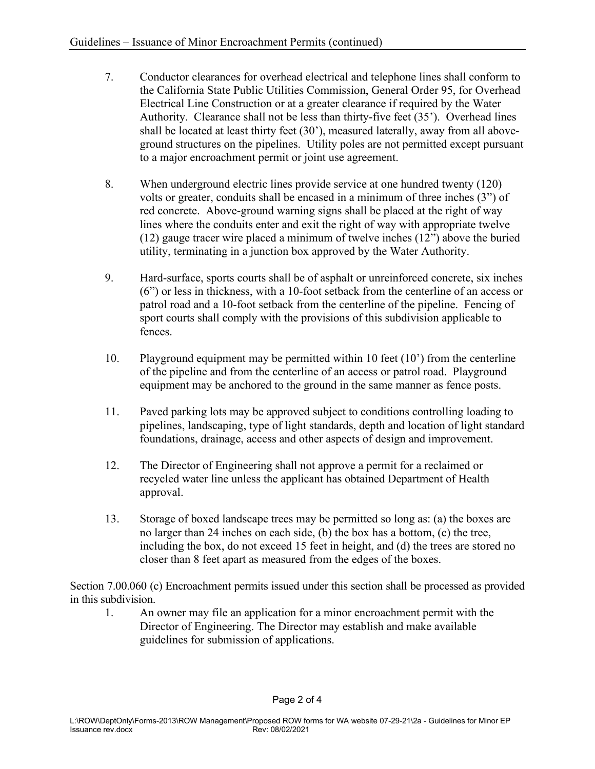- 7. Conductor clearances for overhead electrical and telephone lines shall conform to the California State Public Utilities Commission, General Order 95, for Overhead Electrical Line Construction or at a greater clearance if required by the Water Authority. Clearance shall not be less than thirty-five feet (35'). Overhead lines shall be located at least thirty feet (30'), measured laterally, away from all aboveground structures on the pipelines. Utility poles are not permitted except pursuant to a major encroachment permit or joint use agreement.
- 8. When underground electric lines provide service at one hundred twenty (120) volts or greater, conduits shall be encased in a minimum of three inches (3") of red concrete. Above-ground warning signs shall be placed at the right of way lines where the conduits enter and exit the right of way with appropriate twelve (12) gauge tracer wire placed a minimum of twelve inches (12") above the buried utility, terminating in a junction box approved by the Water Authority.
- 9. Hard-surface, sports courts shall be of asphalt or unreinforced concrete, six inches (6") or less in thickness, with a 10-foot setback from the centerline of an access or patrol road and a 10-foot setback from the centerline of the pipeline. Fencing of sport courts shall comply with the provisions of this subdivision applicable to fences.
- 10. Playground equipment may be permitted within 10 feet (10') from the centerline of the pipeline and from the centerline of an access or patrol road. Playground equipment may be anchored to the ground in the same manner as fence posts.
- 11. Paved parking lots may be approved subject to conditions controlling loading to pipelines, landscaping, type of light standards, depth and location of light standard foundations, drainage, access and other aspects of design and improvement.
- 12. The Director of Engineering shall not approve a permit for a reclaimed or recycled water line unless the applicant has obtained Department of Health approval.
- 13. Storage of boxed landscape trees may be permitted so long as: (a) the boxes are no larger than 24 inches on each side, (b) the box has a bottom, (c) the tree, including the box, do not exceed 15 feet in height, and (d) the trees are stored no closer than 8 feet apart as measured from the edges of the boxes.

Section 7.00.060 (c) Encroachment permits issued under this section shall be processed as provided in this subdivision.

1. An owner may file an application for a minor encroachment permit with the Director of Engineering. The Director may establish and make available guidelines for submission of applications.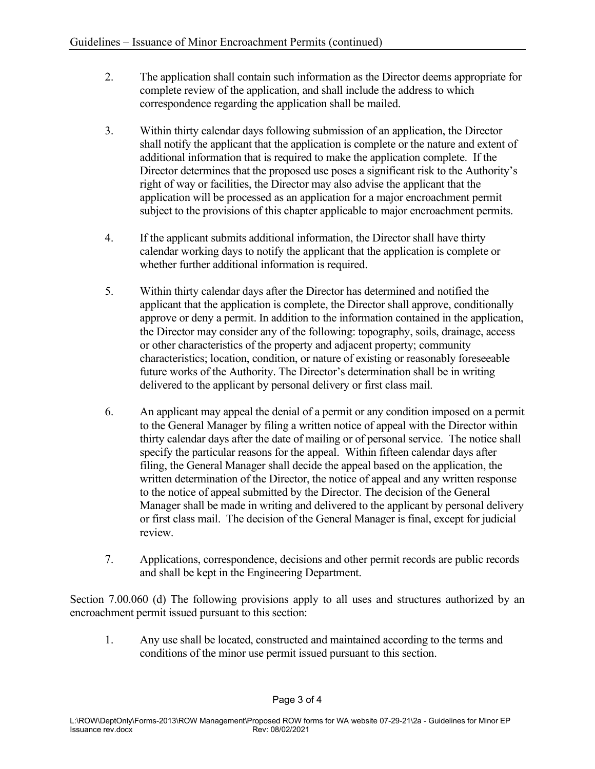- 2. The application shall contain such information as the Director deems appropriate for complete review of the application, and shall include the address to which correspondence regarding the application shall be mailed.
- 3. Within thirty calendar days following submission of an application, the Director shall notify the applicant that the application is complete or the nature and extent of additional information that is required to make the application complete. If the Director determines that the proposed use poses a significant risk to the Authority's right of way or facilities, the Director may also advise the applicant that the application will be processed as an application for a major encroachment permit subject to the provisions of this chapter applicable to major encroachment permits.
- 4. If the applicant submits additional information, the Director shall have thirty calendar working days to notify the applicant that the application is complete or whether further additional information is required.
- 5. Within thirty calendar days after the Director has determined and notified the applicant that the application is complete, the Director shall approve, conditionally approve or deny a permit. In addition to the information contained in the application, the Director may consider any of the following: topography, soils, drainage, access or other characteristics of the property and adjacent property; community characteristics; location, condition, or nature of existing or reasonably foreseeable future works of the Authority. The Director's determination shall be in writing delivered to the applicant by personal delivery or first class mail.
- 6. An applicant may appeal the denial of a permit or any condition imposed on a permit to the General Manager by filing a written notice of appeal with the Director within thirty calendar days after the date of mailing or of personal service. The notice shall specify the particular reasons for the appeal. Within fifteen calendar days after filing, the General Manager shall decide the appeal based on the application, the written determination of the Director, the notice of appeal and any written response to the notice of appeal submitted by the Director. The decision of the General Manager shall be made in writing and delivered to the applicant by personal delivery or first class mail. The decision of the General Manager is final, except for judicial review.
- 7. Applications, correspondence, decisions and other permit records are public records and shall be kept in the Engineering Department.

Section 7.00.060 (d) The following provisions apply to all uses and structures authorized by an encroachment permit issued pursuant to this section:

1. Any use shall be located, constructed and maintained according to the terms and conditions of the minor use permit issued pursuant to this section.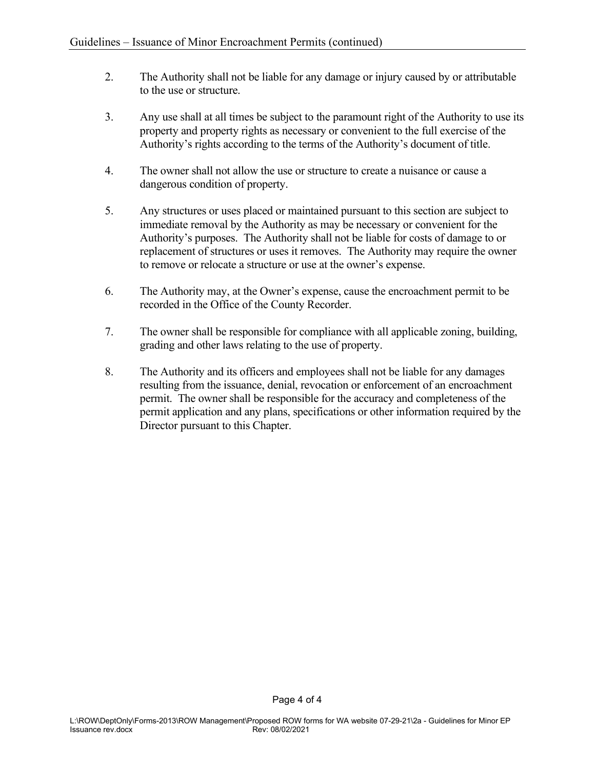- 2. The Authority shall not be liable for any damage or injury caused by or attributable to the use or structure.
- 3. Any use shall at all times be subject to the paramount right of the Authority to use its property and property rights as necessary or convenient to the full exercise of the Authority's rights according to the terms of the Authority's document of title.
- 4. The owner shall not allow the use or structure to create a nuisance or cause a dangerous condition of property.
- 5. Any structures or uses placed or maintained pursuant to this section are subject to immediate removal by the Authority as may be necessary or convenient for the Authority's purposes. The Authority shall not be liable for costs of damage to or replacement of structures or uses it removes. The Authority may require the owner to remove or relocate a structure or use at the owner's expense.
- 6. The Authority may, at the Owner's expense, cause the encroachment permit to be recorded in the Office of the County Recorder.
- 7. The owner shall be responsible for compliance with all applicable zoning, building, grading and other laws relating to the use of property.
- 8. The Authority and its officers and employees shall not be liable for any damages resulting from the issuance, denial, revocation or enforcement of an encroachment permit. The owner shall be responsible for the accuracy and completeness of the permit application and any plans, specifications or other information required by the Director pursuant to this Chapter.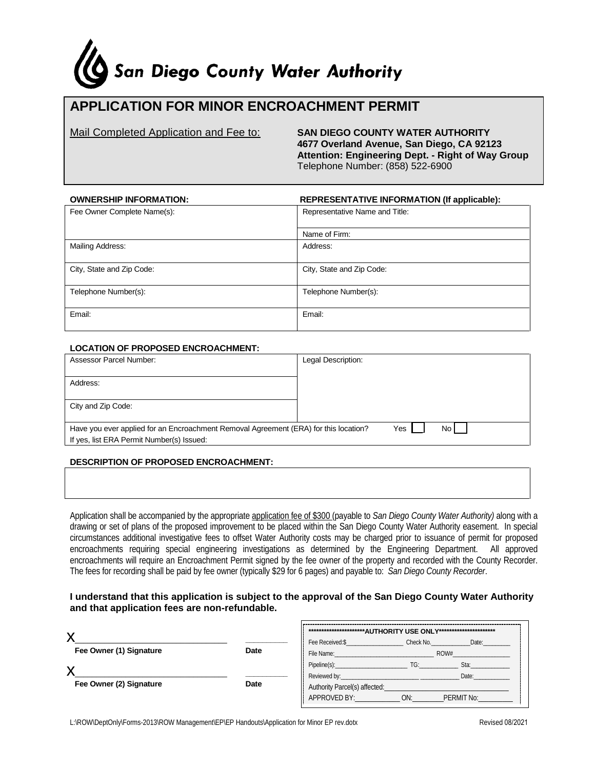# San Diego County Water Authority

# **APPLICATION FOR MINOR ENCROACHMENT PERMIT**

Mail Completed Application and Fee to: **SAN DIEGO COUNTY WATER AUTHORITY 4677 Overland Avenue, San Diego, CA 92123 Attention: Engineering Dept. - Right of Way Group** Telephone Number: (858) 522-6900

| <b>OWNERSHIP INFORMATION:</b> | <b>REPRESENTATIVE INFORMATION (If applicable):</b> |  |
|-------------------------------|----------------------------------------------------|--|
| Fee Owner Complete Name(s):   | Representative Name and Title:                     |  |
|                               |                                                    |  |
|                               | Name of Firm:                                      |  |
| Mailing Address:              | Address:                                           |  |
| City, State and Zip Code:     | City, State and Zip Code:                          |  |
| Telephone Number(s):          | Telephone Number(s):                               |  |
| Email:                        | Email:                                             |  |

#### **LOCATION OF PROPOSED ENCROACHMENT:**

| Assessor Parcel Number:                                                                             | Legal Description: |  |  |  |
|-----------------------------------------------------------------------------------------------------|--------------------|--|--|--|
|                                                                                                     |                    |  |  |  |
| Address:                                                                                            |                    |  |  |  |
|                                                                                                     |                    |  |  |  |
| City and Zip Code:                                                                                  |                    |  |  |  |
|                                                                                                     |                    |  |  |  |
|                                                                                                     |                    |  |  |  |
| No I<br>Yes<br>Have you ever applied for an Encroachment Removal Agreement (ERA) for this location? |                    |  |  |  |
| If yes, list ERA Permit Number(s) Issued:                                                           |                    |  |  |  |

#### **DESCRIPTION OF PROPOSED ENCROACHMENT:**

Application shall be accompanied by the appropriate application fee of \$300 (payable to *San Diego County Water Authority)* along with a drawing or set of plans of the proposed improvement to be placed within the San Diego County Water Authority easement. In special circumstances additional investigative fees to offset Water Authority costs may be charged prior to issuance of permit for proposed encroachments requiring special engineering investigations as determined by the Engineering Department. All approved encroachments will require an Encroachment Permit signed by the fee owner of the property and recorded with the County Recorder. The fees for recording shall be paid by fee owner (typically \$29 for 6 pages) and payable to: *San Diego County Recorder*.

#### **I understand that this application is subject to the approval of the San Diego County Water Authority and that application fees are non-refundable.**

|                         |      | ************************AUTHORITY USE ONLY********************** |           |            |
|-------------------------|------|------------------------------------------------------------------|-----------|------------|
| ↗                       |      | Fee Received:\$                                                  | Check No. | Date:      |
| Fee Owner (1) Signature | Date | File Name:<br>ROW#                                               |           |            |
|                         |      | Pipeline(s):                                                     | TG:       | Sta:       |
|                         |      | Reviewed by:                                                     |           | Date:      |
| Fee Owner (2) Signature | Date | Authority Parcel(s) affected:                                    |           |            |
|                         |      | APPROVED BY:                                                     | ON:       | PERMIT No: |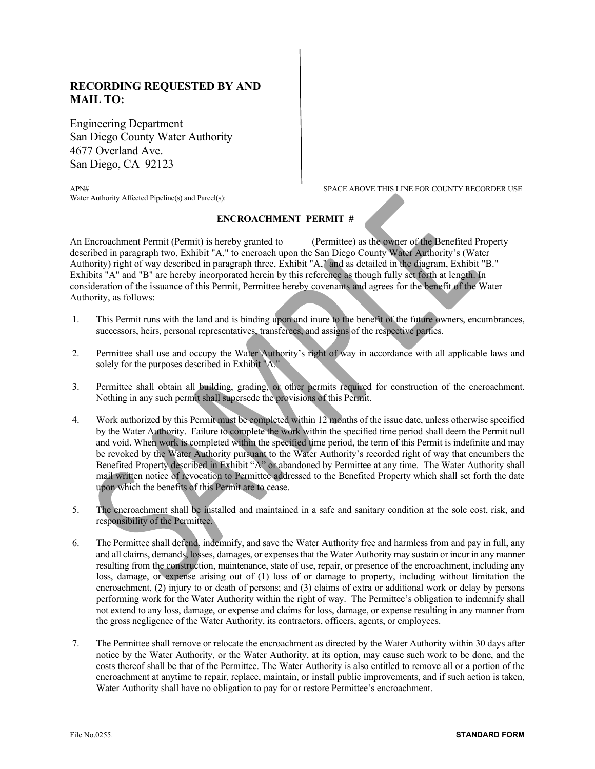### **RECORDING REQUESTED BY AND MAIL TO:**

Engineering Department San Diego County Water Authority 4677 Overland Ave. San Diego, CA 92123

Water Authority Affected Pipeline(s) and Parcel(s):

APN# SPACE ABOVE THIS LINE FOR COUNTY RECORDER USE

#### **ENCROACHMENT PERMIT #**

An Encroachment Permit (Permit) is hereby granted to (Permittee) as the owner of the Benefited Property described in paragraph two, Exhibit "A," to encroach upon the San Diego County Water Authority's (Water Authority) right of way described in paragraph three, Exhibit "A," and as detailed in the diagram, Exhibit "B." Exhibits "A" and "B" are hereby incorporated herein by this reference as though fully set forth at length. In consideration of the issuance of this Permit, Permittee hereby covenants and agrees for the benefit of the Water Authority, as follows:

- 1. This Permit runs with the land and is binding upon and inure to the benefit of the future owners, encumbrances, successors, heirs, personal representatives, transferees, and assigns of the respective parties.
- 2. Permittee shall use and occupy the Water Authority's right of way in accordance with all applicable laws and solely for the purposes described in Exhibit "A."
- 3. Permittee shall obtain all building, grading, or other permits required for construction of the encroachment. Nothing in any such permit shall supersede the provisions of this Permit.
- 4. Work authorized by this Permit must be completed within 12 months of the issue date, unless otherwise specified by the Water Authority. Failure to complete the work within the specified time period shall deem the Permit null and void. When work is completed within the specified time period, the term of this Permit is indefinite and may be revoked by the Water Authority pursuant to the Water Authority's recorded right of way that encumbers the Benefited Property described in Exhibit "A" or abandoned by Permittee at any time. The Water Authority shall mail written notice of revocation to Permittee addressed to the Benefited Property which shall set forth the date upon which the benefits of this Permit are to cease.
- 5. The encroachment shall be installed and maintained in a safe and sanitary condition at the sole cost, risk, and responsibility of the Permittee.
- 6. The Permittee shall defend, indemnify, and save the Water Authority free and harmless from and pay in full, any and all claims, demands, losses, damages, or expenses that the Water Authority may sustain or incur in any manner resulting from the construction, maintenance, state of use, repair, or presence of the encroachment, including any loss, damage, or expense arising out of (1) loss of or damage to property, including without limitation the encroachment, (2) injury to or death of persons; and (3) claims of extra or additional work or delay by persons performing work for the Water Authority within the right of way. The Permittee's obligation to indemnify shall not extend to any loss, damage, or expense and claims for loss, damage, or expense resulting in any manner from the gross negligence of the Water Authority, its contractors, officers, agents, or employees.
- 7. The Permittee shall remove or relocate the encroachment as directed by the Water Authority within 30 days after notice by the Water Authority, or the Water Authority, at its option, may cause such work to be done, and the costs thereof shall be that of the Permittee. The Water Authority is also entitled to remove all or a portion of the encroachment at anytime to repair, replace, maintain, or install public improvements, and if such action is taken, Water Authority shall have no obligation to pay for or restore Permittee's encroachment.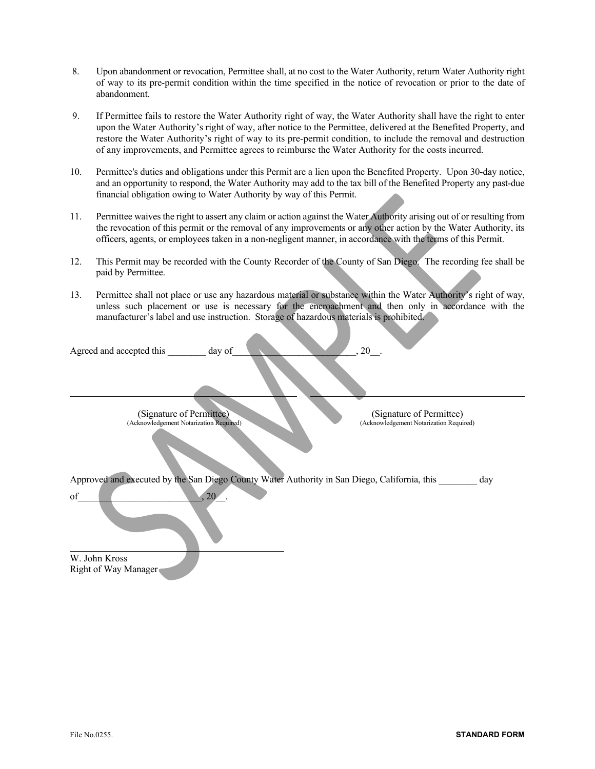- 8. Upon abandonment or revocation, Permittee shall, at no cost to the Water Authority, return Water Authority right of way to its pre-permit condition within the time specified in the notice of revocation or prior to the date of abandonment.
- 9. If Permittee fails to restore the Water Authority right of way, the Water Authority shall have the right to enter upon the Water Authority's right of way, after notice to the Permittee, delivered at the Benefited Property, and restore the Water Authority's right of way to its pre-permit condition, to include the removal and destruction of any improvements, and Permittee agrees to reimburse the Water Authority for the costs incurred.
- 10. Permittee's duties and obligations under this Permit are a lien upon the Benefited Property. Upon 30-day notice, and an opportunity to respond, the Water Authority may add to the tax bill of the Benefited Property any past-due financial obligation owing to Water Authority by way of this Permit.
- 11. Permittee waives the right to assert any claim or action against the Water Authority arising out of or resulting from the revocation of this permit or the removal of any improvements or any other action by the Water Authority, its officers, agents, or employees taken in a non-negligent manner, in accordance with the terms of this Permit.
- 12. This Permit may be recorded with the County Recorder of the County of San Diego. The recording fee shall be paid by Permittee.
- 13. Permittee shall not place or use any hazardous material or substance within the Water Authority's right of way, unless such placement or use is necessary for the encroachment and then only in accordance with the manufacturer's label and use instruction. Storage of hazardous materials is prohibited.

| Agreed and accepted this<br>day of                                                                                      | $, 20$ .                                                            |
|-------------------------------------------------------------------------------------------------------------------------|---------------------------------------------------------------------|
| (Signature of Permittee)<br>(Acknowledgement Notarization Required)                                                     | (Signature of Permittee)<br>(Acknowledgement Notarization Required) |
| Approved and executed by the San Diego County Water Authority in San Diego, California, this<br>, 20 <sub>1</sub><br>of | day                                                                 |
| W. John Kross<br>Right of Way Manager                                                                                   |                                                                     |